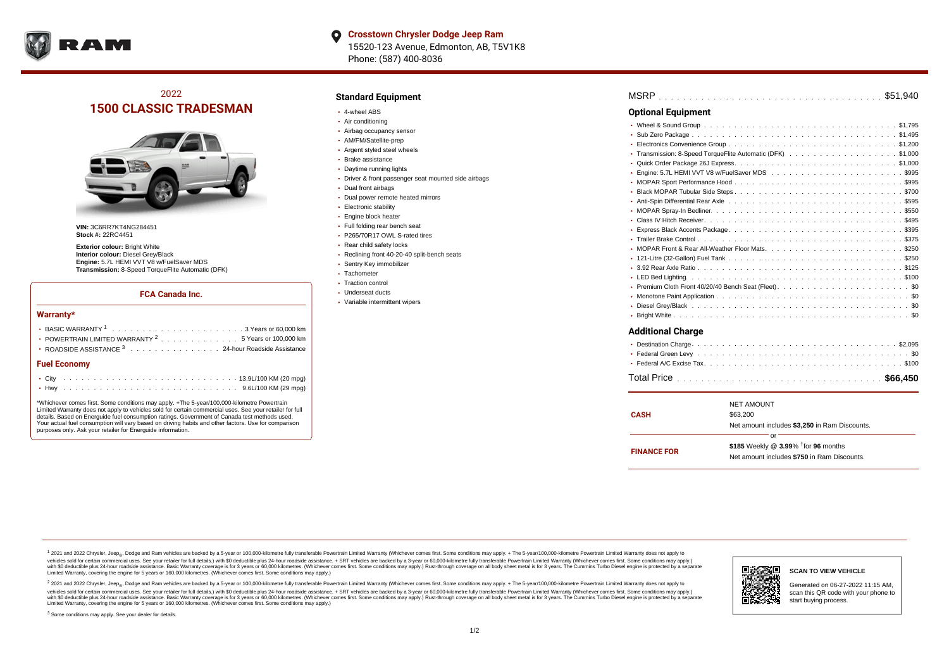

# 2022 **1500 CLASSIC TRADESMAN**



**VIN:** 3C6RR7KT4NG284451 **Stock #:** 22RC4451

**Exterior colour:** Bright White **Interior colour:** Diesel Grey/Black **Engine:** 5.7L HEMI VVT V8 w/FuelSaver MDS **Transmission:** 8-Speed TorqueFlite Automatic (DFK)

#### **FCA Canada Inc.**

#### **Warranty\***

| → BASIC WARRANTY <sup>1</sup> ,,,,,,,,,,,,,,,,,,,,,,,3 Years or 60,000 km<br>• POWERTRAIN LIMITED WARRANTY <sup>2</sup> 5 Years or 100,000 km<br>• ROADSIDE ASSISTANCE 3 24-hour Roadside Assistance |  |  |  |  |  |  |  |  |  |  |  |  |  |  |  |  |
|------------------------------------------------------------------------------------------------------------------------------------------------------------------------------------------------------|--|--|--|--|--|--|--|--|--|--|--|--|--|--|--|--|
| <b>Fuel Economy</b>                                                                                                                                                                                  |  |  |  |  |  |  |  |  |  |  |  |  |  |  |  |  |
|                                                                                                                                                                                                      |  |  |  |  |  |  |  |  |  |  |  |  |  |  |  |  |
|                                                                                                                                                                                                      |  |  |  |  |  |  |  |  |  |  |  |  |  |  |  |  |

\*Whichever comes first. Some conditions may apply. +The 5-year/100,000-kilometre Powertrain Limited Warranty does not apply to vehicles sold for certain commercial uses. See your retailer for full details. Based on Energuide fuel consumption ratings. Government of Canada test methods used. Your actual fuel consumption will vary based on driving habits and other factors. Use for comparison purposes only. Ask your retailer for Energuide information.

### **Standard Equipment**

- 4-wheel ABS
- Air conditioning
- Airbag occupancy sensor
- AM/FM/Satellite-prep
- Argent styled steel wheels
- Brake assistance
- Daytime running lights
- Driver & front passenger seat mounted side airbags
- Dual front airbags
- Dual power remote heated mirrors
- **Electronic stability**
- Engine block heater
- Full folding rear bench seat
- P265/70R17 OWL S-rated tires
- Rear child safety locks
- Reclining front 40-20-40 split-bench seats
- Sentry Key immobilizer
- Tachometer
- Traction control
- Underseat ducts
- Variable intermittent wipers

| <b>Optional Equipment</b>                                       |
|-----------------------------------------------------------------|
|                                                                 |
| ٠                                                               |
| ٠                                                               |
| Transmission: 8-Speed TorqueFlite Automatic (DFK). \$1,000<br>٠ |
|                                                                 |
|                                                                 |
|                                                                 |
| ٠                                                               |
| ٠                                                               |
| ٠                                                               |
|                                                                 |
| ٠                                                               |
|                                                                 |
|                                                                 |
| ٠                                                               |
|                                                                 |
| ٠                                                               |
|                                                                 |
|                                                                 |
|                                                                 |
|                                                                 |
| <b>Additional Charge</b>                                        |
| $\sim$ $\sim$ $\sim$<br>.                                       |

| www.comercen.com |  |  |  |  |  |  |  |  |  |  |  |  |  |  |  |  |  |
|------------------|--|--|--|--|--|--|--|--|--|--|--|--|--|--|--|--|--|
|                  |  |  |  |  |  |  |  |  |  |  |  |  |  |  |  |  |  |

| <b>CASH</b>        | <b>NET AMOUNT</b><br>\$63,200<br>Net amount includes \$3,250 in Ram Discounts.                          |
|--------------------|---------------------------------------------------------------------------------------------------------|
| <b>FINANCE FOR</b> | or<br>\$185 Weekly @ $3.99\%$ <sup>†</sup> for 96 months<br>Net amount includes \$750 in Ram Discounts. |

<sup>1</sup> 2021 and 2022 Chrysler, Jeep<sub>®</sub>, Dodge and Ram vehicles are backed by a 5-year or 100,000-kilometre fully transferable Powertrain Limited Warranty (Whichever comes first. Some conditions may apply. + The 5-year/100,000 vehicles sold for certain commercial uses. See your retailer for full details.) with \$0 deductible plus 24-hour roadside assistance. + SRT vehicles are backed by a 3-year or 60,000-kilometre fully transferable Powertrain L versus and contract the mean of the contract of the contract with a contract with a contract the contract of the contract of the contract the contract of the contract of the contract of the contract of the contract of the Limited Warranty, covering the engine for 5 years or 160,000 kilometres. (Whichever comes first. Some conditions may apply.)

2 2021 and 2022 Chrysler, Jeep<sub>®</sub>, Dodge and Ram vehicles are backed by a 5-year or 100,000-kilometre fully transferable Powertrain Limited Warranty (Whichever comes first. Some conditions may apply. + The 5-year/100,000-k vehicles sold for certain commercial uses. See your retailer for full details.) with SO deductible plus 24-hour roadside assistance. + SRT vehicles are backed by a 3-year or 60.000-kilometre fully transferable Powertrain. with S0 deductible plus 24-hour roadside assistance. Basic Warranty coverage is for 3 years or 60,000 kilometres. (Whichever comes first. Some conditions may apply.) Rust-through coverage on all body sheet metal is for 3 y

<sup>3</sup> Some conditions may apply. See your dealer for details.



Generated on 06-27-2022 11:15 AM, scan this QR code with your phone to start buying process.